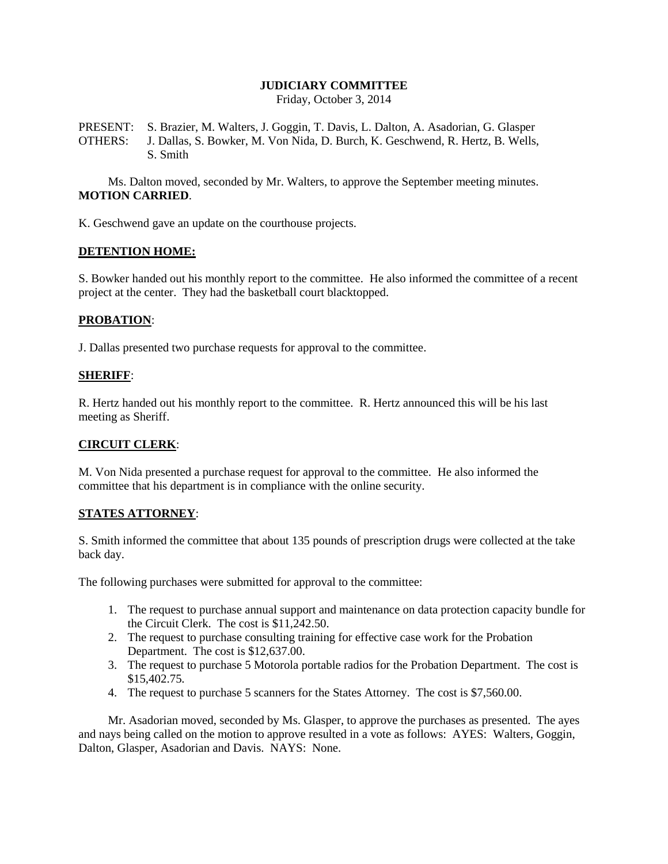# **JUDICIARY COMMITTEE**

Friday, October 3, 2014

PRESENT: S. Brazier, M. Walters, J. Goggin, T. Davis, L. Dalton, A. Asadorian, G. Glasper OTHERS: J. Dallas, S. Bowker, M. Von Nida, D. Burch, K. Geschwend, R. Hertz, B. Wells, S. Smith

Ms. Dalton moved, seconded by Mr. Walters, to approve the September meeting minutes. **MOTION CARRIED**.

K. Geschwend gave an update on the courthouse projects.

### **DETENTION HOME:**

S. Bowker handed out his monthly report to the committee. He also informed the committee of a recent project at the center. They had the basketball court blacktopped.

## **PROBATION**:

J. Dallas presented two purchase requests for approval to the committee.

### **SHERIFF**:

R. Hertz handed out his monthly report to the committee. R. Hertz announced this will be his last meeting as Sheriff.

## **CIRCUIT CLERK**:

M. Von Nida presented a purchase request for approval to the committee. He also informed the committee that his department is in compliance with the online security.

## **STATES ATTORNEY**:

S. Smith informed the committee that about 135 pounds of prescription drugs were collected at the take back day.

The following purchases were submitted for approval to the committee:

- 1. The request to purchase annual support and maintenance on data protection capacity bundle for the Circuit Clerk. The cost is \$11,242.50.
- 2. The request to purchase consulting training for effective case work for the Probation Department. The cost is \$12,637.00.
- 3. The request to purchase 5 Motorola portable radios for the Probation Department. The cost is \$15,402.75.
- 4. The request to purchase 5 scanners for the States Attorney. The cost is \$7,560.00.

Mr. Asadorian moved, seconded by Ms. Glasper, to approve the purchases as presented. The ayes and nays being called on the motion to approve resulted in a vote as follows: AYES: Walters, Goggin, Dalton, Glasper, Asadorian and Davis. NAYS: None.